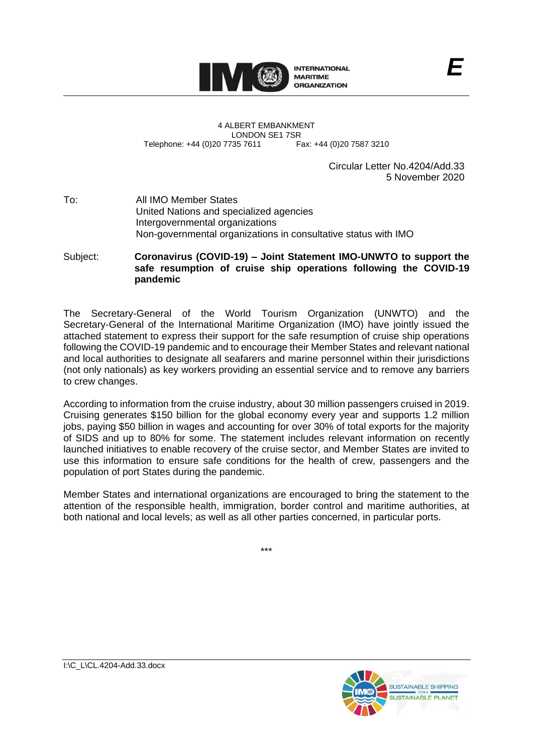

4 ALBERT EMBANKMENT LONDON SE1 7SR<br>735 7611 Fax: +44 (0)20 7587 3210 Telephone: +44 (0)20 7735 7611

Circular Letter No.4204/Add.33 5 November 2020

*E*

## To: All IMO Member States United Nations and specialized agencies Intergovernmental organizations Non-governmental organizations in consultative status with IMO

Subject: **Coronavirus (COVID-19) – Joint Statement IMO-UNWTO to support the safe resumption of cruise ship operations following the COVID-19 pandemic**

The Secretary-General of the World Tourism Organization (UNWTO) and the Secretary-General of the International Maritime Organization (IMO) have jointly issued the attached statement to express their support for the safe resumption of cruise ship operations following the COVID-19 pandemic and to encourage their Member States and relevant national and local authorities to designate all seafarers and marine personnel within their jurisdictions (not only nationals) as key workers providing an essential service and to remove any barriers to crew changes.

According to information from the cruise industry, about 30 million passengers cruised in 2019. Cruising generates \$150 billion for the global economy every year and supports 1.2 million jobs, paying \$50 billion in wages and accounting for over 30% of total exports for the majority of SIDS and up to 80% for some. The statement includes relevant information on recently launched initiatives to enable recovery of the cruise sector, and Member States are invited to use this information to ensure safe conditions for the health of crew, passengers and the population of port States during the pandemic.

Member States and international organizations are encouraged to bring the statement to the attention of the responsible health, immigration, border control and maritime authorities, at both national and local levels; as well as all other parties concerned, in particular ports.

\*\*\*

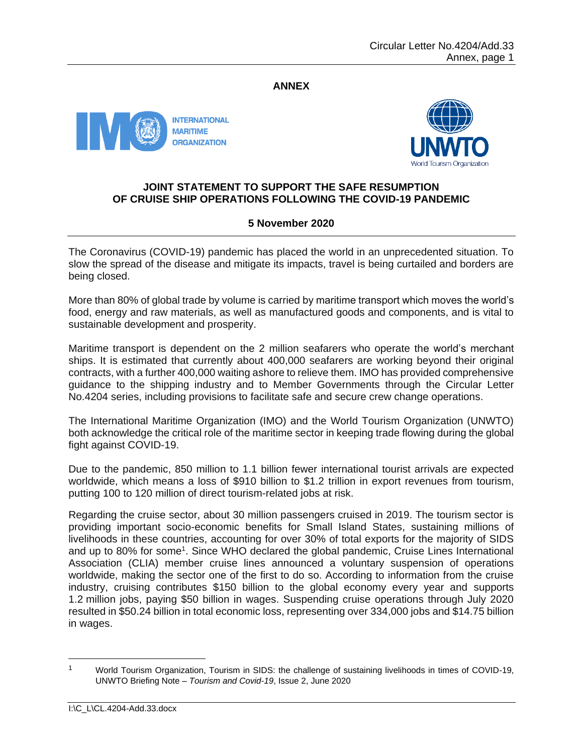## **ANNEX**





## **JOINT STATEMENT TO SUPPORT THE SAFE RESUMPTION OF CRUISE SHIP OPERATIONS FOLLOWING THE COVID-19 PANDEMIC**

## **5 November 2020**

The Coronavirus (COVID-19) pandemic has placed the world in an unprecedented situation. To slow the spread of the disease and mitigate its impacts, travel is being curtailed and borders are being closed.

More than 80% of global trade by volume is carried by maritime transport which moves the world's food, energy and raw materials, as well as manufactured goods and components, and is vital to sustainable development and prosperity.

Maritime transport is dependent on the 2 million seafarers who operate the world's merchant ships. It is estimated that currently about 400,000 seafarers are working beyond their original contracts, with a further 400,000 waiting ashore to relieve them. IMO has provided comprehensive guidance to the shipping industry and to Member Governments through the Circular Letter No.4204 series, including provisions to facilitate safe and secure crew change operations.

The International Maritime Organization (IMO) and the World Tourism Organization (UNWTO) both acknowledge the critical role of the maritime sector in keeping trade flowing during the global fight against COVID-19.

Due to the pandemic, 850 million to 1.1 billion fewer international tourist arrivals are expected worldwide, which means a loss of \$910 billion to \$1.2 trillion in export revenues from tourism, putting 100 to 120 million of direct tourism-related jobs at risk.

Regarding the cruise sector, about 30 million passengers cruised in 2019. The tourism sector is providing important socio-economic benefits for Small Island States, sustaining millions of livelihoods in these countries, accounting for over 30% of total exports for the majority of SIDS and up to 80% for some<sup>1</sup>. Since WHO declared the global pandemic, Cruise Lines International Association (CLIA) member cruise lines announced a voluntary suspension of operations worldwide, making the sector one of the first to do so. According to information from the cruise industry, cruising contributes \$150 billion to the global economy every year and supports 1.2 million jobs, paying \$50 billion in wages. Suspending cruise operations through July 2020 resulted in \$50.24 billion in total economic loss, representing over 334,000 jobs and \$14.75 billion in wages.

<sup>1</sup> World Tourism Organization, Tourism in SIDS: the challenge of sustaining livelihoods in times of COVID-19, UNWTO Briefing Note – *Tourism and Covid-19*, Issue 2, June 2020